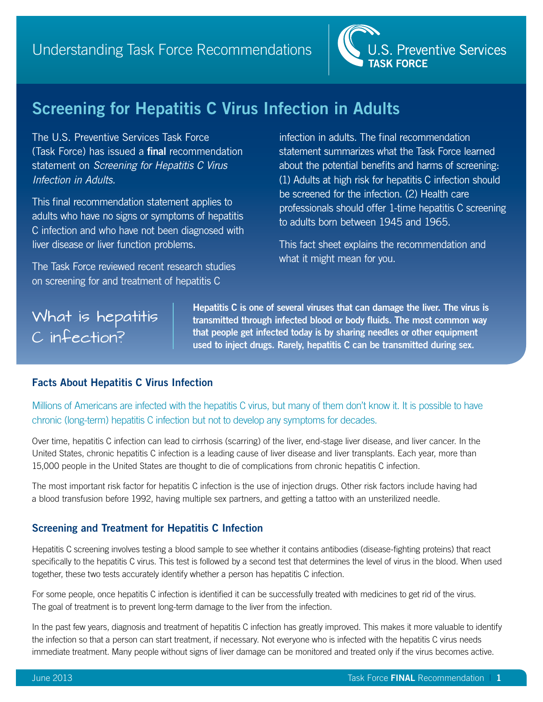

## **Screening for Hepatitis C Virus Infection in Adults**

The U.S. Preventive Services Task Force (Task Force) has issued a **final** recommendation statement on *Screening for Hepatitis C Virus Infection in Adults.*

This final recommendation statement applies to adults who have no signs or symptoms of hepatitis C infection and who have not been diagnosed with liver disease or liver function problems.

The Task Force reviewed recent research studies on screening for and treatment of hepatitis C

infection in adults. The final recommendation statement summarizes what the Task Force learned about the potential benefits and harms of screening: (1) Adults at high risk for hepatitis C infection should be screened for the infection. (2) Health care professionals should offer 1-time hepatitis C screening to adults born between 1945 and 1965.

This fact sheet explains the recommendation and what it might mean for you.

# What is hepatitis C infection?

**Hepatitis C is one of several viruses that can damage the liver. The virus is transmitted through infected blood or body fluids. The most common way that people get infected today is by sharing needles or other equipment used to inject drugs. Rarely, hepatitis C can be transmitted during sex.** 

## **Facts About Hepatitis C Virus Infection**

Millions of Americans are infected with the hepatitis C virus, but many of them don't know it. It is possible to have chronic (long-term) hepatitis C infection but not to develop any symptoms for decades.

Over time, hepatitis C infection can lead to cirrhosis (scarring) of the liver, end-stage liver disease, and liver cancer. In the United States, chronic hepatitis C infection is a leading cause of liver disease and liver transplants. Each year, more than 15,000 people in the United States are thought to die of complications from chronic hepatitis C infection.

The most important risk factor for hepatitis C infection is the use of injection drugs. Other risk factors include having had a blood transfusion before 1992, having multiple sex partners, and getting a tattoo with an unsterilized needle.

## **Screening and Treatment for Hepatitis C Infection**

Hepatitis C screening involves testing a blood sample to see whether it contains antibodies (disease-fighting proteins) that react specifically to the hepatitis C virus. This test is followed by a second test that determines the level of virus in the blood. When used together, these two tests accurately identify whether a person has hepatitis C infection.

For some people, once hepatitis C infection is identified it can be successfully treated with medicines to get rid of the virus. The goal of treatment is to prevent long-term damage to the liver from the infection.

In the past few years, diagnosis and treatment of hepatitis C infection has greatly improved. This makes it more valuable to identify the infection so that a person can start treatment, if necessary. Not everyone who is infected with the hepatitis C virus needs immediate treatment. Many people without signs of liver damage can be monitored and treated only if the virus becomes active.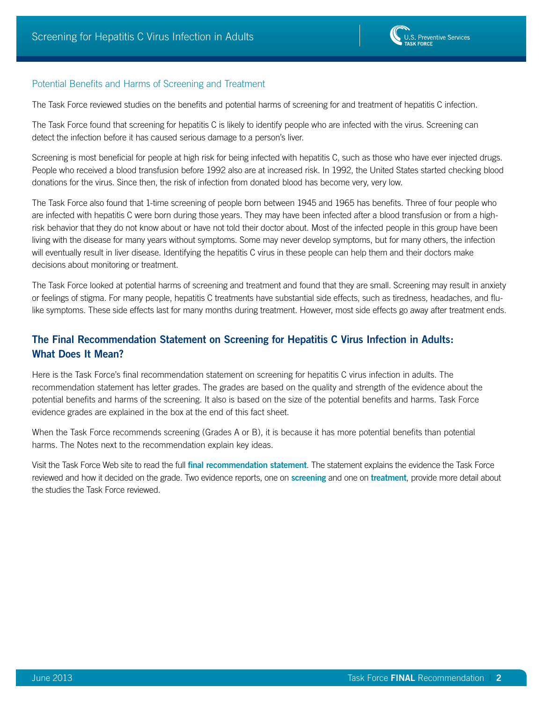## Potential Benefits and Harms of Screening and Treatment

The Task Force reviewed studies on the benefits and potential harms of screening for and treatment of hepatitis C infection.

The Task Force found that screening for hepatitis C is likely to identify people who are infected with the virus. Screening can detect the infection before it has caused serious damage to a person's liver.

Screening is most beneficial for people at high risk for being infected with hepatitis C, such as those who have ever injected drugs. People who received a blood transfusion before 1992 also are at increased risk. In 1992, the United States started checking blood donations for the virus. Since then, the risk of infection from donated blood has become very, very low.

The Task Force also found that 1-time screening of people born between 1945 and 1965 has benefits. Three of four people who are infected with hepatitis C were born during those years. They may have been infected after a blood transfusion or from a highrisk behavior that they do not know about or have not told their doctor about. Most of the infected people in this group have been living with the disease for many years without symptoms. Some may never develop symptoms, but for many others, the infection will eventually result in liver disease. Identifying the hepatitis C virus in these people can help them and their doctors make decisions about monitoring or treatment.

The Task Force looked at potential harms of screening and treatment and found that they are small. Screening may result in anxiety or feelings of stigma. For many people, hepatitis C treatments have substantial side effects, such as tiredness, headaches, and flulike symptoms. These side effects last for many months during treatment. However, most side effects go away after treatment ends.

## **The Final Recommendation Statement on Screening for Hepatitis C Virus Infection in Adults: What Does It Mean?**

Here is the Task Force's final recommendation statement on screening for hepatitis C virus infection in adults. The recommendation statement has letter grades. The grades are based on the quality and strength of the evidence about the potential benefits and harms of the screening. It also is based on the size of the potential benefits and harms. Task Force evidence grades are explained in the box at the end of this fact sheet.

When the Task Force recommends screening (Grades A or B), it is because it has more potential benefits than potential harms. The Notes next to the recommendation explain key ideas.

Visit the Task Force Web site to read the full **[final recommendation statement](http://www.uspreventiveservicestaskforce.org/uspstf12/hepc/hepcfinalrs.htm)**. The statement explains the evidence the Task Force reviewed and how it decided on the grade. Two evidence reports, one on **[screening](http://www.uspreventiveservicestaskforce.org/uspstf12/hepc/hepcscrart.htm)** and one on **[treatment](http://www.uspreventiveservicestaskforce.org/uspstf12/hepc/hepctrtart.htm)**, provide more detail about the studies the Task Force reviewed.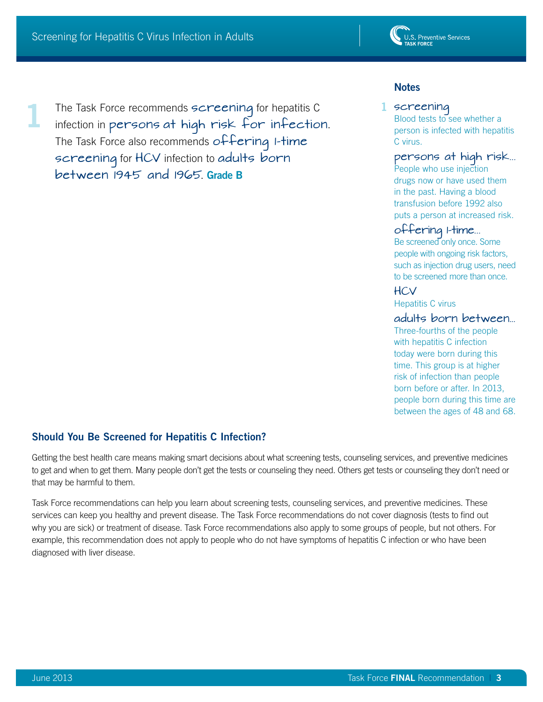**1**



The Task Force recommends screening for hepatitis C infection in persons at high risk for infection. The Task Force also recommends  $of$  Fering I-time screening for HCV infection to adults born between 1945 and 1965. **Grade B**

## **Notes**

### 1 screening

Blood tests to see whether a person is infected with hepatitis C virus.

#### persons at high risk...

People who use injection drugs now or have used them in the past. Having a blood transfusion before 1992 also puts a person at increased risk.

## offering 1-time...

Be screened only once. Some people with ongoing risk factors, such as injection drug users, need to be screened more than once.

## HCV

Hepatitis C virus

## adults born between...

Three-fourths of the people with hepatitis C infection today were born during this time. This group is at higher risk of infection than people born before or after. In 2013, people born during this time are between the ages of 48 and 68.

## **Should You Be Screened for Hepatitis C Infection?**

Getting the best health care means making smart decisions about what screening tests, counseling services, and preventive medicines to get and when to get them. Many people don't get the tests or counseling they need. Others get tests or counseling they don't need or that may be harmful to them.

Task Force recommendations can help you learn about screening tests, counseling services, and preventive medicines. These services can keep you healthy and prevent disease. The Task Force recommendations do not cover diagnosis (tests to find out why you are sick) or treatment of disease. Task Force recommendations also apply to some groups of people, but not others. For example, this recommendation does not apply to people who do not have symptoms of hepatitis C infection or who have been diagnosed with liver disease.